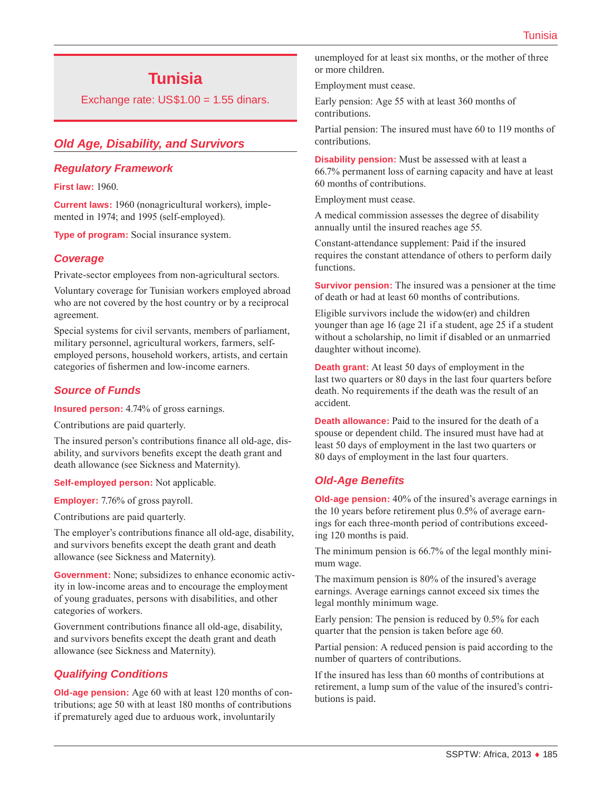# **Tunisia**

Exchange rate:  $US$1.00 = 1.55$  dinars.

## *Old Age, Disability, and Survivors*

### *Regulatory Framework*

**First law:** 1960.

**Current laws:** 1960 (nonagricultural workers), implemented in 1974; and 1995 (self-employed).

**Type of program:** Social insurance system.

### *Coverage*

Private-sector employees from non-agricultural sectors.

Voluntary coverage for Tunisian workers employed abroad who are not covered by the host country or by a reciprocal agreement.

Special systems for civil servants, members of parliament, military personnel, agricultural workers, farmers, selfemployed persons, household workers, artists, and certain categories of fishermen and low-income earners.

### *Source of Funds*

**Insured person:** 4.74% of gross earnings.

Contributions are paid quarterly.

The insured person's contributions finance all old-age, disability, and survivors benefits except the death grant and death allowance (see Sickness and Maternity).

**Self-employed person:** Not applicable.

**Employer:** 7.76% of gross payroll.

Contributions are paid quarterly.

The employer's contributions finance all old-age, disability, and survivors benefits except the death grant and death allowance (see Sickness and Maternity).

**Government:** None; subsidizes to enhance economic activity in low-income areas and to encourage the employment of young graduates, persons with disabilities, and other categories of workers.

Government contributions finance all old-age, disability, and survivors benefits except the death grant and death allowance (see Sickness and Maternity).

### *Qualifying Conditions*

**Old-age pension:** Age 60 with at least 120 months of contributions; age 50 with at least 180 months of contributions if prematurely aged due to arduous work, involuntarily

unemployed for at least six months, or the mother of three or more children.

Employment must cease.

Early pension: Age 55 with at least 360 months of contributions.

Partial pension: The insured must have 60 to 119 months of contributions.

**Disability pension:** Must be assessed with at least a 66.7% permanent loss of earning capacity and have at least 60 months of contributions.

Employment must cease.

A medical commission assesses the degree of disability annually until the insured reaches age 55.

Constant-attendance supplement: Paid if the insured requires the constant attendance of others to perform daily functions.

**Survivor pension:** The insured was a pensioner at the time of death or had at least 60 months of contributions.

Eligible survivors include the widow(er) and children younger than age 16 (age 21 if a student, age 25 if a student without a scholarship, no limit if disabled or an unmarried daughter without income).

**Death grant:** At least 50 days of employment in the last two quarters or 80 days in the last four quarters before death. No requirements if the death was the result of an accident.

**Death allowance:** Paid to the insured for the death of a spouse or dependent child. The insured must have had at least 50 days of employment in the last two quarters or 80 days of employment in the last four quarters.

### *Old-Age Benefits*

**Old-age pension:** 40% of the insured's average earnings in the 10 years before retirement plus 0.5% of average earnings for each three-month period of contributions exceeding 120 months is paid.

The minimum pension is 66.7% of the legal monthly minimum wage.

The maximum pension is 80% of the insured's average earnings. Average earnings cannot exceed six times the legal monthly minimum wage.

Early pension: The pension is reduced by 0.5% for each quarter that the pension is taken before age 60.

Partial pension: A reduced pension is paid according to the number of quarters of contributions.

If the insured has less than 60 months of contributions at retirement, a lump sum of the value of the insured's contributions is paid.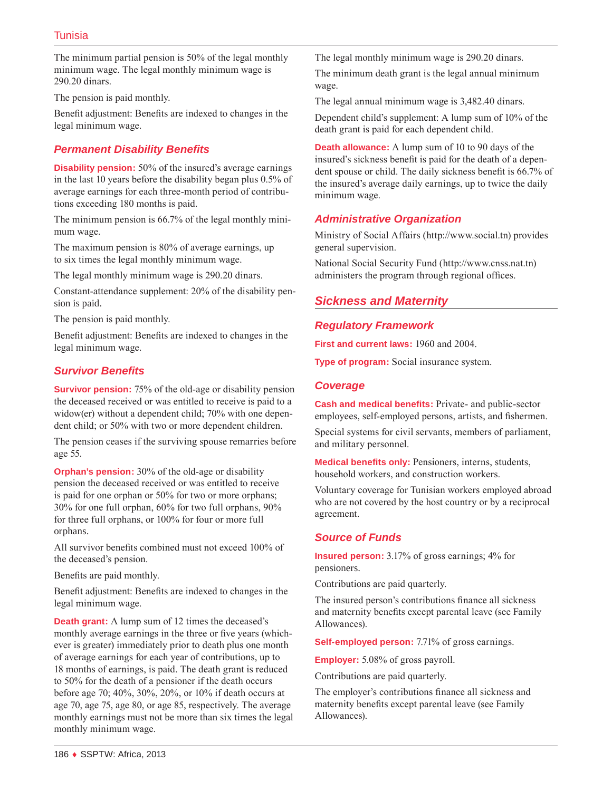The minimum partial pension is 50% of the legal monthly minimum wage. The legal monthly minimum wage is 290.20 dinars.

The pension is paid monthly.

Benefit adjustment: Benefits are indexed to changes in the legal minimum wage.

### *Permanent Disability Benefits*

**Disability pension:** 50% of the insured's average earnings in the last 10 years before the disability began plus 0.5% of average earnings for each three-month period of contributions exceeding 180 months is paid.

The minimum pension is 66.7% of the legal monthly minimum wage.

The maximum pension is 80% of average earnings, up to six times the legal monthly minimum wage.

The legal monthly minimum wage is 290.20 dinars.

Constant-attendance supplement: 20% of the disability pension is paid.

The pension is paid monthly.

Benefit adjustment: Benefits are indexed to changes in the legal minimum wage.

### *Survivor Benefits*

**Survivor pension:** 75% of the old-age or disability pension the deceased received or was entitled to receive is paid to a widow(er) without a dependent child; 70% with one dependent child; or 50% with two or more dependent children.

The pension ceases if the surviving spouse remarries before age 55.

**Orphan's pension:** 30% of the old-age or disability pension the deceased received or was entitled to receive is paid for one orphan or 50% for two or more orphans; 30% for one full orphan, 60% for two full orphans, 90% for three full orphans, or 100% for four or more full orphans.

All survivor benefits combined must not exceed 100% of the deceased's pension.

Benefits are paid monthly.

Benefit adjustment: Benefits are indexed to changes in the legal minimum wage.

**Death grant:** A lump sum of 12 times the deceased's monthly average earnings in the three or five years (whichever is greater) immediately prior to death plus one month of average earnings for each year of contributions, up to 18 months of earnings, is paid. The death grant is reduced to 50% for the death of a pensioner if the death occurs before age 70; 40%, 30%, 20%, or 10% if death occurs at age 70, age 75, age 80, or age 85, respectively. The average monthly earnings must not be more than six times the legal monthly minimum wage.

The legal monthly minimum wage is 290.20 dinars.

The minimum death grant is the legal annual minimum wage.

The legal annual minimum wage is 3,482.40 dinars.

Dependent child's supplement: A lump sum of 10% of the death grant is paid for each dependent child.

**Death allowance:** A lump sum of 10 to 90 days of the insured's sickness benefit is paid for the death of a dependent spouse or child. The daily sickness benefit is 66.7% of the insured's average daily earnings, up to twice the daily minimum wage.

### *Administrative Organization*

Ministry of Social Affairs (<http://www.social.tn>) provides general supervision.

National Social Security Fund [\(http://www.cnss.nat.tn](http://www.cnss.nat.tn)) administers the program through regional offices.

# *Sickness and Maternity*

### *Regulatory Framework*

**First and current laws:** 1960 and 2004.

**Type of program:** Social insurance system.

### *Coverage*

**Cash and medical benefits:** Private- and public-sector employees, self-employed persons, artists, and fishermen.

Special systems for civil servants, members of parliament, and military personnel.

**Medical benefits only:** Pensioners, interns, students, household workers, and construction workers.

Voluntary coverage for Tunisian workers employed abroad who are not covered by the host country or by a reciprocal agreement.

### *Source of Funds*

**Insured person:** 3.17% of gross earnings; 4% for pensioners.

Contributions are paid quarterly.

The insured person's contributions finance all sickness and maternity benefits except parental leave (see Family Allowances).

**Self-employed person:** 7.71% of gross earnings.

**Employer:** 5.08% of gross payroll.

Contributions are paid quarterly.

The employer's contributions finance all sickness and maternity benefits except parental leave (see Family Allowances).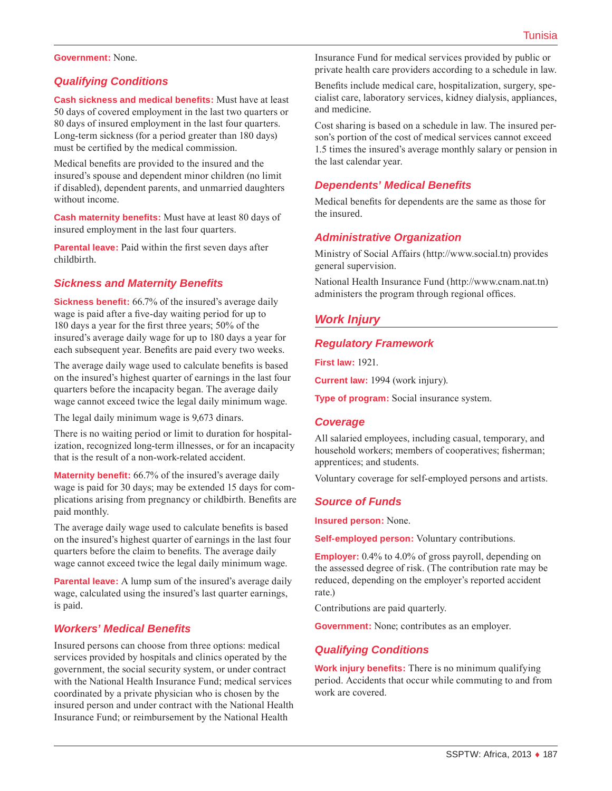#### **Government:** None.

### *Qualifying Conditions*

**Cash sickness and medical benefits:** Must have at least 50 days of covered employment in the last two quarters or 80 days of insured employment in the last four quarters. Long-term sickness (for a period greater than 180 days) must be certified by the medical commission.

Medical benefits are provided to the insured and the insured's spouse and dependent minor children (no limit if disabled), dependent parents, and unmarried daughters without income.

**Cash maternity benefits:** Must have at least 80 days of insured employment in the last four quarters.

**Parental leave:** Paid within the first seven days after childbirth.

### *Sickness and Maternity Benefits*

**Sickness benefit:** 66.7% of the insured's average daily wage is paid after a five-day waiting period for up to 180 days a year for the first three years; 50% of the insured's average daily wage for up to 180 days a year for each subsequent year. Benefits are paid every two weeks.

The average daily wage used to calculate benefits is based on the insured's highest quarter of earnings in the last four quarters before the incapacity began. The average daily wage cannot exceed twice the legal daily minimum wage.

The legal daily minimum wage is 9,673 dinars.

There is no waiting period or limit to duration for hospitalization, recognized long-term illnesses, or for an incapacity that is the result of a non-work-related accident.

**Maternity benefit:** 66.7% of the insured's average daily wage is paid for 30 days; may be extended 15 days for complications arising from pregnancy or childbirth. Benefits are paid monthly.

The average daily wage used to calculate benefits is based on the insured's highest quarter of earnings in the last four quarters before the claim to benefits. The average daily wage cannot exceed twice the legal daily minimum wage.

**Parental leave:** A lump sum of the insured's average daily wage, calculated using the insured's last quarter earnings, is paid.

#### *Workers' Medical Benefits*

Insured persons can choose from three options: medical services provided by hospitals and clinics operated by the government, the social security system, or under contract with the National Health Insurance Fund; medical services coordinated by a private physician who is chosen by the insured person and under contract with the National Health Insurance Fund; or reimbursement by the National Health

Insurance Fund for medical services provided by public or private health care providers according to a schedule in law.

Benefits include medical care, hospitalization, surgery, specialist care, laboratory services, kidney dialysis, appliances, and medicine.

Cost sharing is based on a schedule in law. The insured person's portion of the cost of medical services cannot exceed 1.5 times the insured's average monthly salary or pension in the last calendar year.

### *Dependents' Medical Benefits*

Medical benefits for dependents are the same as those for the insured.

#### *Administrative Organization*

Ministry of Social Affairs (<http://www.social.tn>) provides general supervision.

National Health Insurance Fund (<http://www.cnam.nat.tn>) administers the program through regional offices.

### *Work Injury*

#### *Regulatory Framework*

**First law:** 1921.

**Current law:** 1994 (work injury).

**Type of program:** Social insurance system.

#### *Coverage*

All salaried employees, including casual, temporary, and household workers; members of cooperatives; fisherman; apprentices; and students.

Voluntary coverage for self-employed persons and artists.

#### *Source of Funds*

**Insured person:** None.

**Self-employed person:** Voluntary contributions.

**Employer:** 0.4% to 4.0% of gross payroll, depending on the assessed degree of risk. (The contribution rate may be reduced, depending on the employer's reported accident rate.)

Contributions are paid quarterly.

**Government:** None; contributes as an employer.

#### *Qualifying Conditions*

**Work injury benefits:** There is no minimum qualifying period. Accidents that occur while commuting to and from work are covered.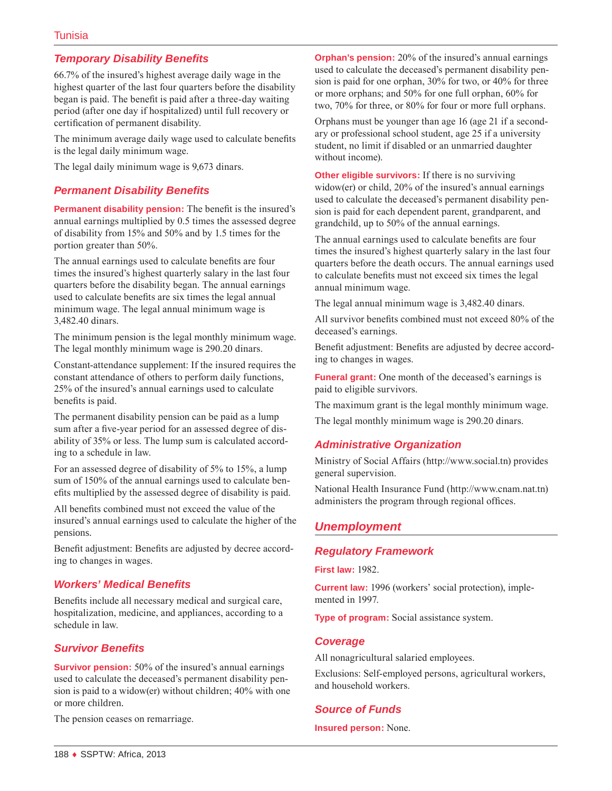### *Temporary Disability Benefits*

66.7% of the insured's highest average daily wage in the highest quarter of the last four quarters before the disability began is paid. The benefit is paid after a three-day waiting period (after one day if hospitalized) until full recovery or certification of permanent disability.

The minimum average daily wage used to calculate benefits is the legal daily minimum wage.

The legal daily minimum wage is 9,673 dinars.

### *Permanent Disability Benefits*

**Permanent disability pension:** The benefit is the insured's annual earnings multiplied by 0.5 times the assessed degree of disability from 15% and 50% and by 1.5 times for the portion greater than 50%.

The annual earnings used to calculate benefits are four times the insured's highest quarterly salary in the last four quarters before the disability began. The annual earnings used to calculate benefits are six times the legal annual minimum wage. The legal annual minimum wage is 3,482.40 dinars.

The minimum pension is the legal monthly minimum wage. The legal monthly minimum wage is 290.20 dinars.

Constant-attendance supplement: If the insured requires the constant attendance of others to perform daily functions, 25% of the insured's annual earnings used to calculate benefits is paid.

The permanent disability pension can be paid as a lump sum after a five-year period for an assessed degree of disability of 35% or less. The lump sum is calculated according to a schedule in law.

For an assessed degree of disability of 5% to 15%, a lump sum of 150% of the annual earnings used to calculate benefits multiplied by the assessed degree of disability is paid.

All benefits combined must not exceed the value of the insured's annual earnings used to calculate the higher of the pensions.

Benefit adjustment: Benefits are adjusted by decree according to changes in wages.

### *Workers' Medical Benefits*

Benefits include all necessary medical and surgical care, hospitalization, medicine, and appliances, according to a schedule in law.

### *Survivor Benefits*

**Survivor pension:** 50% of the insured's annual earnings used to calculate the deceased's permanent disability pension is paid to a widow(er) without children; 40% with one or more children.

The pension ceases on remarriage.

**Orphan's pension:** 20% of the insured's annual earnings used to calculate the deceased's permanent disability pension is paid for one orphan, 30% for two, or 40% for three or more orphans; and 50% for one full orphan, 60% for two, 70% for three, or 80% for four or more full orphans.

Orphans must be younger than age 16 (age 21 if a secondary or professional school student, age 25 if a university student, no limit if disabled or an unmarried daughter without income).

**Other eligible survivors:** If there is no surviving widow(er) or child, 20% of the insured's annual earnings used to calculate the deceased's permanent disability pension is paid for each dependent parent, grandparent, and grandchild, up to 50% of the annual earnings.

The annual earnings used to calculate benefits are four times the insured's highest quarterly salary in the last four quarters before the death occurs. The annual earnings used to calculate benefits must not exceed six times the legal annual minimum wage.

The legal annual minimum wage is 3,482.40 dinars.

All survivor benefits combined must not exceed 80% of the deceased's earnings.

Benefit adjustment: Benefits are adjusted by decree according to changes in wages.

**Funeral grant:** One month of the deceased's earnings is paid to eligible survivors.

The maximum grant is the legal monthly minimum wage.

The legal monthly minimum wage is 290.20 dinars.

### *Administrative Organization*

Ministry of Social Affairs (<http://www.social.tn>) provides general supervision.

National Health Insurance Fund (<http://www.cnam.nat.tn>) administers the program through regional offices.

### *Unemployment*

### *Regulatory Framework*

**First law:** 1982.

**Current law:** 1996 (workers' social protection), implemented in 1997.

**Type of program:** Social assistance system.

### *Coverage*

All nonagricultural salaried employees.

Exclusions: Self-employed persons, agricultural workers, and household workers.

### *Source of Funds*

**Insured person:** None.